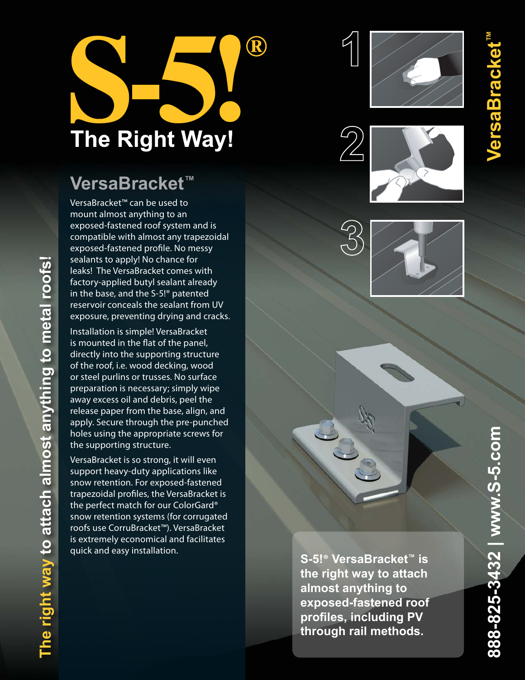## $\bigcirc\hspace{-0.3cm}\bigcirc$ The Right Way!

## **VersaBracket ™**

VersaBracket™ can be used to mount almost anything to an exposed-fastened roof system and is compatible with almost any trapezoidal exposed-fastened profile. No messy sealants to apply! No chance for leaks! The VersaBracket comes with factory-applied butyl sealant already in the base, and the S-5!® patented reservoir conceals the sealant from UV exposure, preventing drying and cracks.

Installation is simple! VersaBracket is mounted in the flat of the panel, directly into the supporting structure of the roof, i.e. wood decking, wood or steel purlins or trusses. No surface preparation is necessary; simply wipe away excess oil and debris, peel the release paper from the base, align, and apply. Secure through the pre-punched holes using the appropriate screws for the supporting structure.

VersaBracket is so strong, it will even support heavy-duty applications like snow retention. For exposed-fastened trapezoidal profiles, the VersaBracket is the perfect match for our ColorGard® snow retention systems (for corrugated roofs use CorruBracket™). VersaBracket is extremely economical and facilitates quick and easy installation.